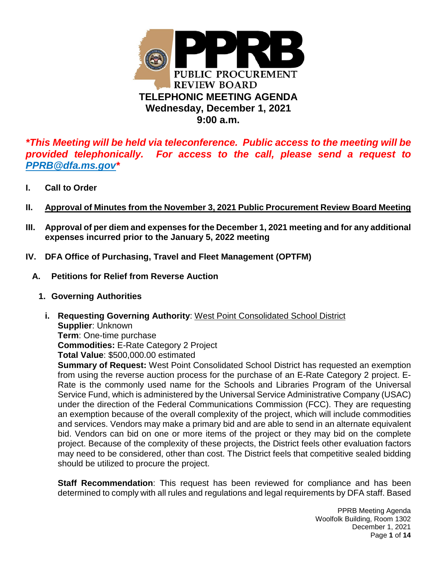

*\*This Meeting will be held via teleconference. Public access to the meeting will be provided telephonically. For access to the call, please send a request to PPRB@dfa.ms.gov\**

- **I. Call to Order**
- **II. Approval of Minutes from the November 3, 2021 Public Procurement Review Board Meeting**
- **III. Approval of per diem and expenses for the December 1, 2021 meeting and for any additional expenses incurred prior to the January 5, 2022 meeting**
- **IV. DFA Office of Purchasing, Travel and Fleet Management (OPTFM)** 
	- **A. Petitions for Relief from Reverse Auction** 
		- **1. Governing Authorities** 
			- **i. Requesting Governing Authority**: West Point Consolidated School District **Supplier**: Unknown **Term**: One-time purchase **Commodities:** E-Rate Category 2 Project **Total Value**: \$500,000.00 estimated

**Summary of Request:** West Point Consolidated School District has requested an exemption from using the reverse auction process for the purchase of an E-Rate Category 2 project. E-Rate is the commonly used name for the Schools and Libraries Program of the Universal Service Fund, which is administered by the Universal Service Administrative Company (USAC) under the direction of the Federal Communications Commission (FCC). They are requesting an exemption because of the overall complexity of the project, which will include commodities and services. Vendors may make a primary bid and are able to send in an alternate equivalent bid. Vendors can bid on one or more items of the project or they may bid on the complete project. Because of the complexity of these projects, the District feels other evaluation factors may need to be considered, other than cost. The District feels that competitive sealed bidding should be utilized to procure the project.

**Staff Recommendation**: This request has been reviewed for compliance and has been determined to comply with all rules and regulations and legal requirements by DFA staff. Based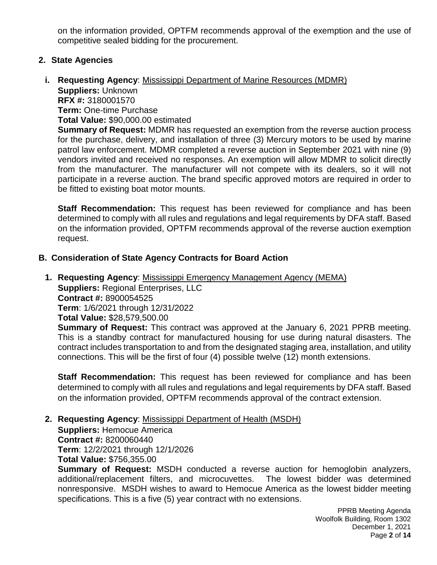on the information provided, OPTFM recommends approval of the exemption and the use of competitive sealed bidding for the procurement.

#### **2. State Agencies**

**i. Requesting Agency**: Mississippi Department of Marine Resources (MDMR) **Suppliers:** Unknown **RFX #:** 3180001570 **Term:** One-time Purchase **Total Value:** \$90,000.00 estimated **Summary of Request:** MDMR has requested an exemption from the reverse auction process for the purchase, delivery, and installation of three (3) Mercury motors to be used by marine

patrol law enforcement. MDMR completed a reverse auction in September 2021 with nine (9) vendors invited and received no responses. An exemption will allow MDMR to solicit directly from the manufacturer. The manufacturer will not compete with its dealers, so it will not participate in a reverse auction. The brand specific approved motors are required in order to be fitted to existing boat motor mounts.

 **Staff Recommendation:** This request has been reviewed for compliance and has been determined to comply with all rules and regulations and legal requirements by DFA staff. Based on the information provided, OPTFM recommends approval of the reverse auction exemption request.

#### **B. Consideration of State Agency Contracts for Board Action**

**1. Requesting Agency**: Mississippi Emergency Management Agency (MEMA) **Suppliers:** Regional Enterprises, LLC **Contract #:** 8900054525 **Term**: 1/6/2021 through 12/31/2022 **Total Value:** \$28,579,500.00

**Summary of Request:** This contract was approved at the January 6, 2021 PPRB meeting. This is a standby contract for manufactured housing for use during natural disasters. The contract includes transportation to and from the designated staging area, installation, and utility connections. This will be the first of four (4) possible twelve (12) month extensions.

**Staff Recommendation:** This request has been reviewed for compliance and has been determined to comply with all rules and regulations and legal requirements by DFA staff. Based on the information provided, OPTFM recommends approval of the contract extension.

#### **2. Requesting Agency**: Mississippi Department of Health (MSDH)

**Suppliers:** Hemocue America **Contract #:** 8200060440 **Term**: 12/2/2021 through 12/1/2026 **Total Value:** \$756,355.00

**Summary of Request:** MSDH conducted a reverse auction for hemoglobin analyzers, additional/replacement filters, and microcuvettes. The lowest bidder was determined nonresponsive. MSDH wishes to award to Hemocue America as the lowest bidder meeting specifications. This is a five (5) year contract with no extensions.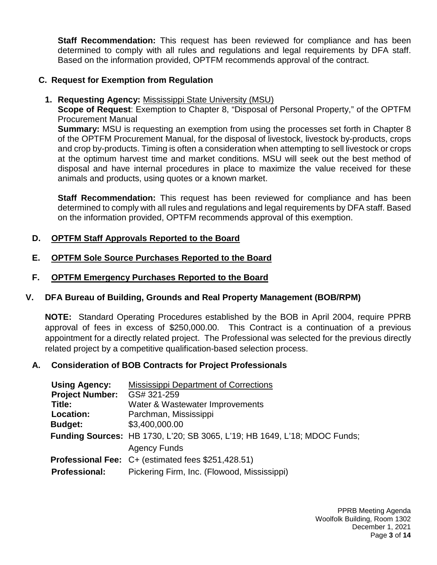**Staff Recommendation:** This request has been reviewed for compliance and has been determined to comply with all rules and regulations and legal requirements by DFA staff. Based on the information provided, OPTFM recommends approval of the contract.

## **C. Request for Exemption from Regulation**

**1. Requesting Agency:** Mississippi State University (MSU)

**Scope of Request**: Exemption to Chapter 8, "Disposal of Personal Property," of the OPTFM Procurement Manual

**Summary:** MSU is requesting an exemption from using the processes set forth in Chapter 8 of the OPTFM Procurement Manual, for the disposal of livestock, livestock by-products, crops and crop by-products. Timing is often a consideration when attempting to sell livestock or crops at the optimum harvest time and market conditions. MSU will seek out the best method of disposal and have internal procedures in place to maximize the value received for these animals and products, using quotes or a known market.

**Staff Recommendation:** This request has been reviewed for compliance and has been determined to comply with all rules and regulations and legal requirements by DFA staff. Based on the information provided, OPTFM recommends approval of this exemption.

# **D. OPTFM Staff Approvals Reported to the Board**

## **E. OPTFM Sole Source Purchases Reported to the Board**

## **F. OPTFM Emergency Purchases Reported to the Board**

# **V. DFA Bureau of Building, Grounds and Real Property Management (BOB/RPM)**

**NOTE:** Standard Operating Procedures established by the BOB in April 2004, require PPRB approval of fees in excess of \$250,000.00. This Contract is a continuation of a previous appointment for a directly related project. The Professional was selected for the previous directly related project by a competitive qualification-based selection process.

# **A. Consideration of BOB Contracts for Project Professionals**

| <b>Using Agency:</b>   | Mississippi Department of Corrections                                            |  |
|------------------------|----------------------------------------------------------------------------------|--|
| <b>Project Number:</b> | GS# 321-259                                                                      |  |
| Title:                 | Water & Wastewater Improvements                                                  |  |
| Location:              | Parchman, Mississippi                                                            |  |
| <b>Budget:</b>         | \$3,400,000.00                                                                   |  |
|                        | <b>Funding Sources: HB 1730, L'20; SB 3065, L'19; HB 1649, L'18; MDOC Funds;</b> |  |
|                        | <b>Agency Funds</b>                                                              |  |
|                        | Professional Fee: C+ (estimated fees \$251,428.51)                               |  |
| <b>Professional:</b>   | Pickering Firm, Inc. (Flowood, Mississippi)                                      |  |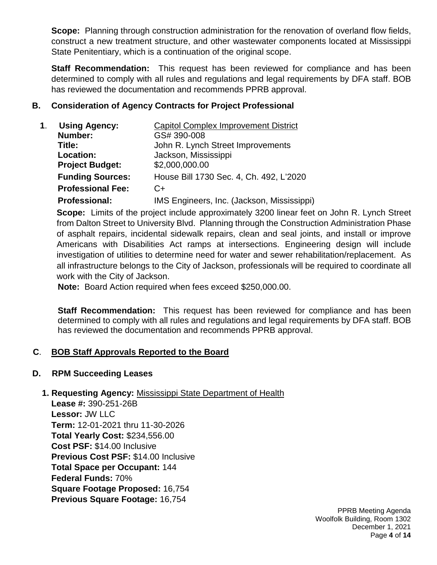**Scope:** Planning through construction administration for the renovation of overland flow fields, construct a new treatment structure, and other wastewater components located at Mississippi State Penitentiary, which is a continuation of the original scope.

**Staff Recommendation:** This request has been reviewed for compliance and has been determined to comply with all rules and regulations and legal requirements by DFA staff. BOB has reviewed the documentation and recommends PPRB approval.

## **B. Consideration of Agency Contracts for Project Professional**

| <b>Using Agency:</b>     | <b>Capitol Complex Improvement District</b> |
|--------------------------|---------------------------------------------|
| Number:                  | GS# 390-008                                 |
| Title:                   | John R. Lynch Street Improvements           |
| Location:                | Jackson, Mississippi                        |
| <b>Project Budget:</b>   | \$2,000,000.00                              |
| <b>Funding Sources:</b>  | House Bill 1730 Sec. 4, Ch. 492, L'2020     |
| <b>Professional Fee:</b> | $C+$                                        |
| <b>Professional:</b>     | IMS Engineers, Inc. (Jackson, Mississippi)  |

**Scope:** Limits of the project include approximately 3200 linear feet on John R. Lynch Street from Dalton Street to University Blvd. Planning through the Construction Administration Phase of asphalt repairs, incidental sidewalk repairs, clean and seal joints, and install or improve Americans with Disabilities Act ramps at intersections. Engineering design will include investigation of utilities to determine need for water and sewer rehabilitation/replacement. As all infrastructure belongs to the City of Jackson, professionals will be required to coordinate all work with the City of Jackson.

**Note:** Board Action required when fees exceed \$250,000.00.

**Staff Recommendation:** This request has been reviewed for compliance and has been determined to comply with all rules and regulations and legal requirements by DFA staff. BOB has reviewed the documentation and recommends PPRB approval.

# **C**. **BOB Staff Approvals Reported to the Board**

## **D. RPM Succeeding Leases**

## **1. Requesting Agency:** Mississippi State Department of Health

**Lease #:** 390-251-26B  **Lessor:** JW LLC  **Term:** 12-01-2021 thru 11-30-2026  **Total Yearly Cost:** \$234,556.00  **Cost PSF:** \$14.00 Inclusive  **Previous Cost PSF:** \$14.00 Inclusive  **Total Space per Occupant:** 144  **Federal Funds:** 70%  **Square Footage Proposed:** 16,754  **Previous Square Footage:** 16,754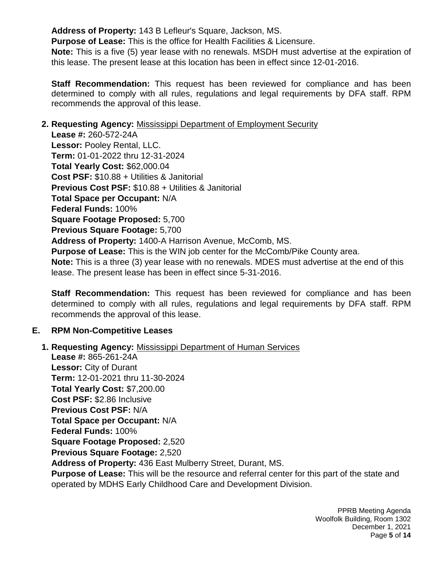**Address of Property:** 143 B Lefleur's Square, Jackson, MS.

 **Purpose of Lease:** This is the office for Health Facilities & Licensure.

 **Note:** This is a five (5) year lease with no renewals. MSDH must advertise at the expiration of this lease. The present lease at this location has been in effect since 12-01-2016.

**Staff Recommendation:** This request has been reviewed for compliance and has been determined to comply with all rules, regulations and legal requirements by DFA staff. RPM recommends the approval of this lease.

## **2. Requesting Agency:** Mississippi Department of Employment Security

 **Lease #:** 260-572-24A  **Lessor:** Pooley Rental, LLC.  **Term:** 01-01-2022 thru 12-31-2024  **Total Yearly Cost:** \$62,000.04  **Cost PSF:** \$10.88 + Utilities & Janitorial  **Previous Cost PSF:** \$10.88 + Utilities & Janitorial  **Total Space per Occupant:** N/A  **Federal Funds:** 100%  **Square Footage Proposed:** 5,700  **Previous Square Footage:** 5,700  **Address of Property:** 1400-A Harrison Avenue, McComb, MS.  **Purpose of Lease:** This is the WIN job center for the McComb/Pike County area.  **Note:** This is a three (3) year lease with no renewals. MDES must advertise at the end of this lease. The present lease has been in effect since 5-31-2016.

**Staff Recommendation:** This request has been reviewed for compliance and has been determined to comply with all rules, regulations and legal requirements by DFA staff. RPM recommends the approval of this lease.

# **E. RPM Non-Competitive Leases**

**1. Requesting Agency:** Mississippi Department of Human Services **Lease #:** 865-261-24A **Lessor:** City of Durant **Term:** 12-01-2021 thru 11-30-2024 **Total Yearly Cost:** \$7,200.00 **Cost PSF:** \$2.86 Inclusive **Previous Cost PSF:** N/A **Total Space per Occupant:** N/A **Federal Funds:** 100% **Square Footage Proposed:** 2,520 **Previous Square Footage:** 2,520 **Address of Property:** 436 East Mulberry Street, Durant, MS. **Purpose of Lease:** This will be the resource and referral center for this part of the state and operated by MDHS Early Childhood Care and Development Division.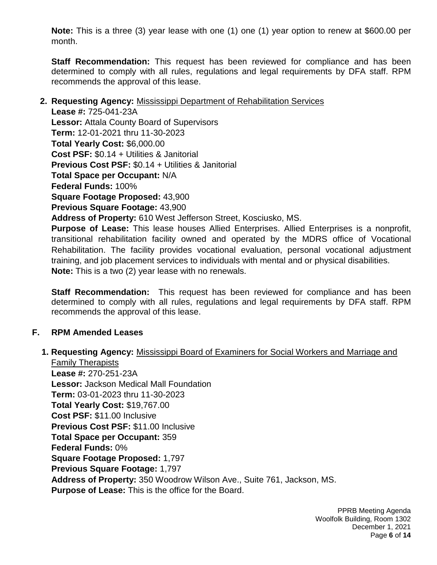**Note:** This is a three (3) year lease with one (1) one (1) year option to renew at \$600.00 per month.

**Staff Recommendation:** This request has been reviewed for compliance and has been determined to comply with all rules, regulations and legal requirements by DFA staff. RPM recommends the approval of this lease.

#### **2. Requesting Agency:** Mississippi Department of Rehabilitation Services

**Lease #:** 725-041-23A **Lessor:** Attala County Board of Supervisors **Term:** 12-01-2021 thru 11-30-2023 **Total Yearly Cost:** \$6,000.00 **Cost PSF:** \$0.14 + Utilities & Janitorial **Previous Cost PSF:** \$0.14 + Utilities & Janitorial **Total Space per Occupant:** N/A **Federal Funds:** 100% **Square Footage Proposed:** 43,900 **Previous Square Footage:** 43,900 **Address of Property:** 610 West Jefferson Street, Kosciusko, MS. **Purpose of Lease:** This lease houses Allied Enterprises. Allied Enterprises is a nonprofit, transitional rehabilitation facility owned and operated by the MDRS office of Vocational Rehabilitation. The facility provides vocational evaluation, personal vocational adjustment training, and job placement services to individuals with mental and or physical disabilities.

**Note:** This is a two (2) year lease with no renewals.

**Staff Recommendation:** This request has been reviewed for compliance and has been determined to comply with all rules, regulations and legal requirements by DFA staff. RPM recommends the approval of this lease.

## **F. RPM Amended Leases**

**1. Requesting Agency:** Mississippi Board of Examiners for Social Workers and Marriage and

Family Therapists  **Lease #:** 270-251-23A  **Lessor:** Jackson Medical Mall Foundation  **Term:** 03-01-2023 thru 11-30-2023  **Total Yearly Cost:** \$19,767.00  **Cost PSF:** \$11.00 Inclusive  **Previous Cost PSF:** \$11.00 Inclusive  **Total Space per Occupant:** 359  **Federal Funds:** 0%  **Square Footage Proposed:** 1,797  **Previous Square Footage:** 1,797  **Address of Property:** 350 Woodrow Wilson Ave., Suite 761, Jackson, MS.  **Purpose of Lease:** This is the office for the Board.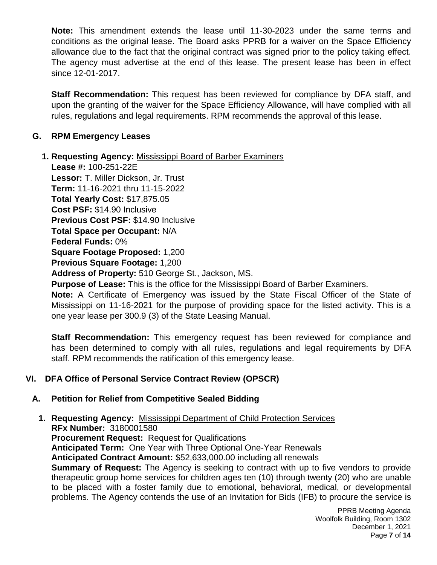**Note:** This amendment extends the lease until 11-30-2023 under the same terms and conditions as the original lease. The Board asks PPRB for a waiver on the Space Efficiency allowance due to the fact that the original contract was signed prior to the policy taking effect. The agency must advertise at the end of this lease. The present lease has been in effect since 12-01-2017.

**Staff Recommendation:** This request has been reviewed for compliance by DFA staff, and upon the granting of the waiver for the Space Efficiency Allowance, will have complied with all rules, regulations and legal requirements. RPM recommends the approval of this lease.

## **G. RPM Emergency Leases**

## **1. Requesting Agency:** Mississippi Board of Barber Examiners

 **Lease #:** 100-251-22E  **Lessor:** T. Miller Dickson, Jr. Trust  **Term:** 11-16-2021 thru 11-15-2022  **Total Yearly Cost:** \$17,875.05  **Cost PSF:** \$14.90 Inclusive  **Previous Cost PSF:** \$14.90 Inclusive  **Total Space per Occupant:** N/A  **Federal Funds:** 0%  **Square Footage Proposed:** 1,200  **Previous Square Footage:** 1,200  **Address of Property:** 510 George St., Jackson, MS.  **Purpose of Lease:** This is the office for the Mississippi Board of Barber Examiners.

 **Note:** A Certificate of Emergency was issued by the State Fiscal Officer of the State of Mississippi on 11-16-2021 for the purpose of providing space for the listed activity. This is a one year lease per 300.9 (3) of the State Leasing Manual.

 **Staff Recommendation:** This emergency request has been reviewed for compliance and has been determined to comply with all rules, regulations and legal requirements by DFA staff. RPM recommends the ratification of this emergency lease.

## **VI. DFA Office of Personal Service Contract Review (OPSCR)**

## **A. Petition for Relief from Competitive Sealed Bidding**

#### **1. Requesting Agency:** Mississippi Department of Child Protection Services **RFx Number:** 3180001580 **Procurement Request:** Request for Qualifications **Anticipated Term:** One Year with Three Optional One-Year Renewals **Anticipated Contract Amount:** \$52,633,000.00 including all renewals **Summary of Request:** The Agency is seeking to contract with up to five vendors to provide therapeutic group home services for children ages ten (10) through twenty (20) who are unable to be placed with a foster family due to emotional, behavioral, medical, or developmental problems. The Agency contends the use of an Invitation for Bids (IFB) to procure the service is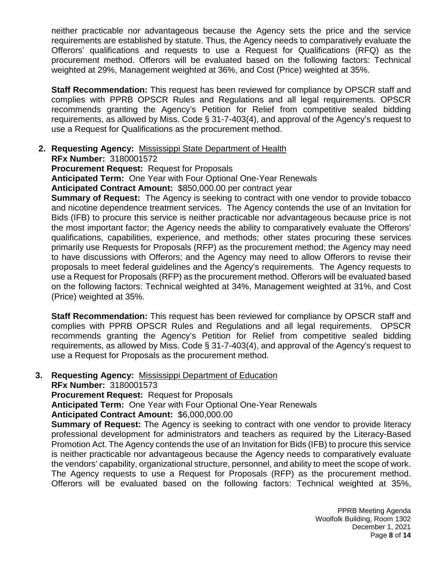neither practicable nor advantageous because the Agency sets the price and the service requirements are established by statute. Thus, the Agency needs to comparatively evaluate the Offerors' qualifications and requests to use a Request for Qualifications (RFQ) as the procurement method. Offerors will be evaluated based on the following factors: Technical weighted at 29%, Management weighted at 36%, and Cost (Price) weighted at 35%.

**Staff Recommendation:** This request has been reviewed for compliance by OPSCR staff and complies with PPRB OPSCR Rules and Regulations and all legal requirements. OPSCR recommends granting the Agency's Petition for Relief from competitive sealed bidding requirements, as allowed by Miss. Code § 31-7-403(4), and approval of the Agency's request to use a Request for Qualifications as the procurement method.

#### **2. Requesting Agency:** Mississippi State Department of Health **RFx Number:** 3180001572

**Procurement Request:** Request for Proposals

**Anticipated Term:** One Year with Four Optional One-Year Renewals

**Anticipated Contract Amount:** \$850,000.00 per contract year

**Summary of Request:** The Agency is seeking to contract with one vendor to provide tobacco and nicotine dependence treatment services. The Agency contends the use of an Invitation for Bids (IFB) to procure this service is neither practicable nor advantageous because price is not the most important factor; the Agency needs the ability to comparatively evaluate the Offerors' qualifications, capabilities, experience, and methods; other states procuring these services primarily use Requests for Proposals (RFP) as the procurement method; the Agency may need to have discussions with Offerors; and the Agency may need to allow Offerors to revise their proposals to meet federal guidelines and the Agency's requirements. The Agency requests to use a Request for Proposals (RFP) as the procurement method. Offerors will be evaluated based on the following factors: Technical weighted at 34%, Management weighted at 31%, and Cost (Price) weighted at 35%.

**Staff Recommendation:** This request has been reviewed for compliance by OPSCR staff and complies with PPRB OPSCR Rules and Regulations and all legal requirements. OPSCR recommends granting the Agency's Petition for Relief from competitive sealed bidding requirements, as allowed by Miss. Code § 31-7-403(4), and approval of the Agency's request to use a Request for Proposals as the procurement method.

## **3. Requesting Agency:** Mississippi Department of Education

**RFx Number:** 3180001573

**Procurement Request:** Request for Proposals

**Anticipated Term:** One Year with Four Optional One-Year Renewals

**Anticipated Contract Amount:** \$6,000,000.00

**Summary of Request:** The Agency is seeking to contract with one vendor to provide literacy professional development for administrators and teachers as required by the Literacy-Based Promotion Act. The Agency contends the use of an Invitation for Bids (IFB) to procure this service is neither practicable nor advantageous because the Agency needs to comparatively evaluate the vendors' capability, organizational structure, personnel, and ability to meet the scope of work. The Agency requests to use a Request for Proposals (RFP) as the procurement method. Offerors will be evaluated based on the following factors: Technical weighted at 35%,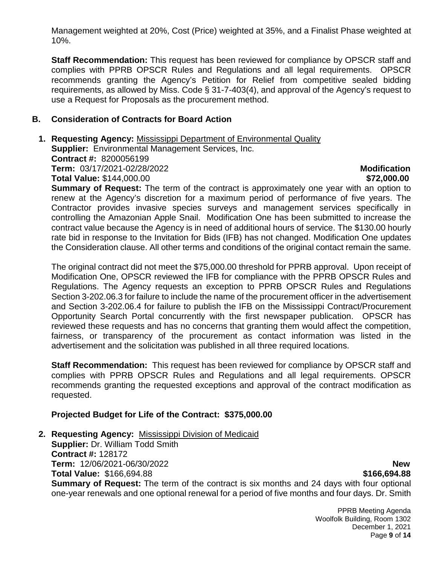Management weighted at 20%, Cost (Price) weighted at 35%, and a Finalist Phase weighted at 10%.

**Staff Recommendation:** This request has been reviewed for compliance by OPSCR staff and complies with PPRB OPSCR Rules and Regulations and all legal requirements. OPSCR recommends granting the Agency's Petition for Relief from competitive sealed bidding requirements, as allowed by Miss. Code § 31-7-403(4), and approval of the Agency's request to use a Request for Proposals as the procurement method.

#### **B. Consideration of Contracts for Board Action**

**1. Requesting Agency:** Mississippi Department of Environmental Quality **Supplier:** Environmental Management Services, Inc. **Contract #:** 8200056199 **Term:** 03/17/2021-02/28/2022 **Modification**

**Total Value:** \$144,000.00 **\$72,000.00 \$72,000.00 \$72,000.00** 

**Summary of Request:** The term of the contract is approximately one year with an option to renew at the Agency's discretion for a maximum period of performance of five years. The Contractor provides invasive species surveys and management services specifically in controlling the Amazonian Apple Snail. Modification One has been submitted to increase the contract value because the Agency is in need of additional hours of service. The \$130.00 hourly rate bid in response to the Invitation for Bids (IFB) has not changed. Modification One updates the Consideration clause. All other terms and conditions of the original contact remain the same.

The original contract did not meet the \$75,000.00 threshold for PPRB approval. Upon receipt of Modification One, OPSCR reviewed the IFB for compliance with the PPRB OPSCR Rules and Regulations. The Agency requests an exception to PPRB OPSCR Rules and Regulations Section 3-202.06.3 for failure to include the name of the procurement officer in the advertisement and Section 3-202.06.4 for failure to publish the IFB on the Mississippi Contract/Procurement Opportunity Search Portal concurrently with the first newspaper publication. OPSCR has reviewed these requests and has no concerns that granting them would affect the competition, fairness, or transparency of the procurement as contact information was listed in the advertisement and the solicitation was published in all three required locations.

**Staff Recommendation:** This request has been reviewed for compliance by OPSCR staff and complies with PPRB OPSCR Rules and Regulations and all legal requirements. OPSCR recommends granting the requested exceptions and approval of the contract modification as requested.

## **Projected Budget for Life of the Contract: \$375,000.00**

**2. Requesting Agency:** Mississippi Division of Medicaid

**Supplier:** Dr. William Todd Smith **Contract #:** 128172 **Term:** 12/06/2021-06/30/2022 **New Total Value:** \$166,694.88 **\$166,694.88 Summary of Request:** The term of the contract is six months and 24 days with four optional one-year renewals and one optional renewal for a period of five months and four days. Dr. Smith

> PPRB Meeting Agenda Woolfolk Building, Room 1302 December 1, 2021 Page **9** of **14**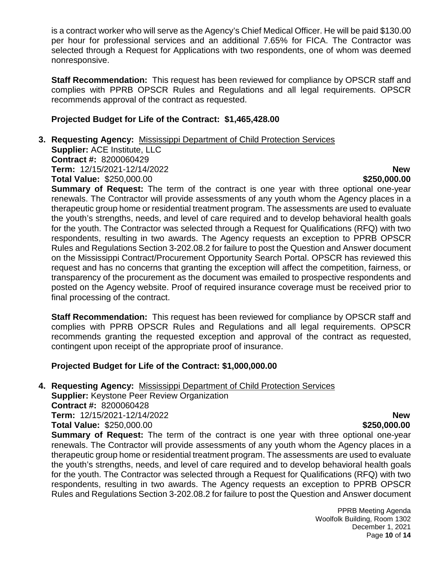is a contract worker who will serve as the Agency's Chief Medical Officer. He will be paid \$130.00 per hour for professional services and an additional 7.65% for FICA. The Contractor was selected through a Request for Applications with two respondents, one of whom was deemed nonresponsive.

**Staff Recommendation:** This request has been reviewed for compliance by OPSCR staff and complies with PPRB OPSCR Rules and Regulations and all legal requirements. OPSCR recommends approval of the contract as requested.

#### **Projected Budget for Life of the Contract: \$1,465,428.00**

#### **3. Requesting Agency:** Mississippi Department of Child Protection Services **Supplier:** ACE Institute, LLC **Contract #:** 8200060429 **Term:** 12/15/2021-12/14/2022 **New Total Value:**  $$250,000.00$  **\$250,000.00 \$250,000.00**

**Summary of Request:** The term of the contract is one year with three optional one-year renewals. The Contractor will provide assessments of any youth whom the Agency places in a therapeutic group home or residential treatment program. The assessments are used to evaluate the youth's strengths, needs, and level of care required and to develop behavioral health goals for the youth. The Contractor was selected through a Request for Qualifications (RFQ) with two respondents, resulting in two awards. The Agency requests an exception to PPRB OPSCR Rules and Regulations Section 3-202.08.2 for failure to post the Question and Answer document on the Mississippi Contract/Procurement Opportunity Search Portal. OPSCR has reviewed this request and has no concerns that granting the exception will affect the competition, fairness, or transparency of the procurement as the document was emailed to prospective respondents and posted on the Agency website. Proof of required insurance coverage must be received prior to final processing of the contract.

**Staff Recommendation:** This request has been reviewed for compliance by OPSCR staff and complies with PPRB OPSCR Rules and Regulations and all legal requirements. OPSCR recommends granting the requested exception and approval of the contract as requested, contingent upon receipt of the appropriate proof of insurance.

#### **Projected Budget for Life of the Contract: \$1,000,000.00**

**4. Requesting Agency:** Mississippi Department of Child Protection Services **Supplier:** Keystone Peer Review Organization

**Contract #:** 8200060428 **Term:** 12/15/2021-12/14/2022 **New Total Value:** \$250,000.00 **\$250,000.00 \$250,000.00** 

**Summary of Request:** The term of the contract is one year with three optional one-year renewals. The Contractor will provide assessments of any youth whom the Agency places in a therapeutic group home or residential treatment program. The assessments are used to evaluate the youth's strengths, needs, and level of care required and to develop behavioral health goals for the youth. The Contractor was selected through a Request for Qualifications (RFQ) with two respondents, resulting in two awards. The Agency requests an exception to PPRB OPSCR Rules and Regulations Section 3-202.08.2 for failure to post the Question and Answer document

> PPRB Meeting Agenda Woolfolk Building, Room 1302 December 1, 2021 Page **10** of **14**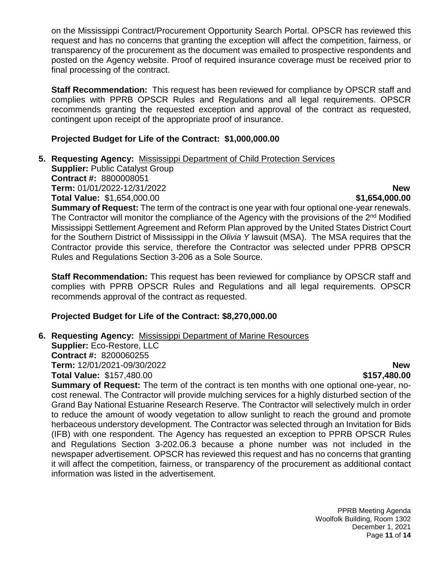on the Mississippi Contract/Procurement Opportunity Search Portal. OPSCR has reviewed this request and has no concerns that granting the exception will affect the competition, fairness, or transparency of the procurement as the document was emailed to prospective respondents and posted on the Agency website. Proof of required insurance coverage must be received prior to final processing of the contract.

**Staff Recommendation:** This request has been reviewed for compliance by OPSCR staff and complies with PPRB OPSCR Rules and Regulations and all legal requirements. OPSCR recommends granting the requested exception and approval of the contract as requested, contingent upon receipt of the appropriate proof of insurance.

#### **Projected Budget for Life of the Contract: \$1,000,000.00**

**5. Requesting Agency:** Mississippi Department of Child Protection Services

**Supplier:** Public Catalyst Group **Contract #:** 8800008051 **Term:** 01/01/2022-12/31/2022 **New**

**Total Value:** \$1,654,000.00 **\$1,654,000.00** 

**Summary of Request:** The term of the contract is one year with four optional one-year renewals. The Contractor will monitor the compliance of the Agency with the provisions of the  $2<sup>nd</sup>$  Modified Mississippi Settlement Agreement and Reform Plan approved by the United States District Court for the Southern District of Mississippi in the *Olivia Y* lawsuit (MSA). The MSA requires that the Contractor provide this service, therefore the Contractor was selected under PPRB OPSCR Rules and Regulations Section 3-206 as a Sole Source.

**Staff Recommendation:** This request has been reviewed for compliance by OPSCR staff and complies with PPRB OPSCR Rules and Regulations and all legal requirements. OPSCR recommends approval of the contract as requested.

# **Projected Budget for Life of the Contract: \$8,270,000.00**

## **6. Requesting Agency:** Mississippi Department of Marine Resources

**Supplier:** Eco-Restore, LLC **Contract #:** 8200060255 **Term:** 12/01/2021-09/30/2022 **New Total Value:**  $$157,480.00$  **\$157,480.00 \$157,480.00** 

**Summary of Request:** The term of the contract is ten months with one optional one-year, nocost renewal. The Contractor will provide mulching services for a highly disturbed section of the Grand Bay National Estuarine Research Reserve. The Contractor will selectively mulch in order to reduce the amount of woody vegetation to allow sunlight to reach the ground and promote herbaceous understory development. The Contractor was selected through an Invitation for Bids (IFB) with one respondent. The Agency has requested an exception to PPRB OPSCR Rules and Regulations Section 3-202.06.3 because a phone number was not included in the newspaper advertisement. OPSCR has reviewed this request and has no concerns that granting it will affect the competition, fairness, or transparency of the procurement as additional contact information was listed in the advertisement.

> PPRB Meeting Agenda Woolfolk Building, Room 1302 December 1, 2021 Page **11** of **14**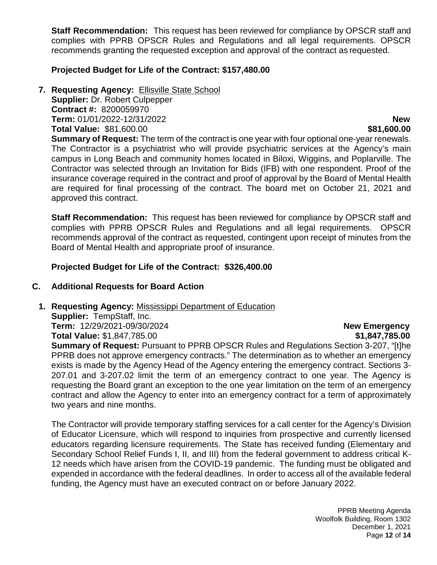**Staff Recommendation:** This request has been reviewed for compliance by OPSCR staff and complies with PPRB OPSCR Rules and Regulations and all legal requirements. OPSCR recommends granting the requested exception and approval of the contract as requested.

#### **Projected Budget for Life of the Contract: \$157,480.00**

**7. Requesting Agency:** Ellisville State School

**Supplier:** Dr. Robert Culpepper **Contract #:** 8200059970 **Term:** 01/01/2022-12/31/2022 **New Total Value:** \$81,600.00 **\$81,600.00** \$81,600.00

**Summary of Request:** The term of the contract is one year with four optional one-year renewals. The Contractor is a psychiatrist who will provide psychiatric services at the Agency's main campus in Long Beach and community homes located in Biloxi, Wiggins, and Poplarville. The Contractor was selected through an Invitation for Bids (IFB) with one respondent. Proof of the insurance coverage required in the contract and proof of approval by the Board of Mental Health are required for final processing of the contract. The board met on October 21, 2021 and approved this contract.

**Staff Recommendation:** This request has been reviewed for compliance by OPSCR staff and complies with PPRB OPSCR Rules and Regulations and all legal requirements. OPSCR recommends approval of the contract as requested, contingent upon receipt of minutes from the Board of Mental Health and appropriate proof of insurance.

**Projected Budget for Life of the Contract: \$326,400.00**

#### **C. Additional Requests for Board Action**

**1. Requesting Agency:** Mississippi Department of Education

**Supplier:** TempStaff, Inc. **Term:** 12/29/2021-09/30/2024 **New Emergency Total Value:** \$1,847,785.00 **\$1,847,785.00**

**Summary of Request: Pursuant to PPRB OPSCR Rules and Regulations Section 3-207, "[t]he** PPRB does not approve emergency contracts." The determination as to whether an emergency exists is made by the Agency Head of the Agency entering the emergency contract. Sections 3- 207.01 and 3-207.02 limit the term of an emergency contract to one year. The Agency is requesting the Board grant an exception to the one year limitation on the term of an emergency contract and allow the Agency to enter into an emergency contract for a term of approximately two years and nine months.

The Contractor will provide temporary staffing services for a call center for the Agency's Division of Educator Licensure, which will respond to inquiries from prospective and currently licensed educators regarding licensure requirements. The State has received funding (Elementary and Secondary School Relief Funds I, II, and III) from the federal government to address critical K-12 needs which have arisen from the COVID-19 pandemic. The funding must be obligated and expended in accordance with the federal deadlines. In order to access all of the available federal funding, the Agency must have an executed contract on or before January 2022.

> PPRB Meeting Agenda Woolfolk Building, Room 1302 December 1, 2021 Page **12** of **14**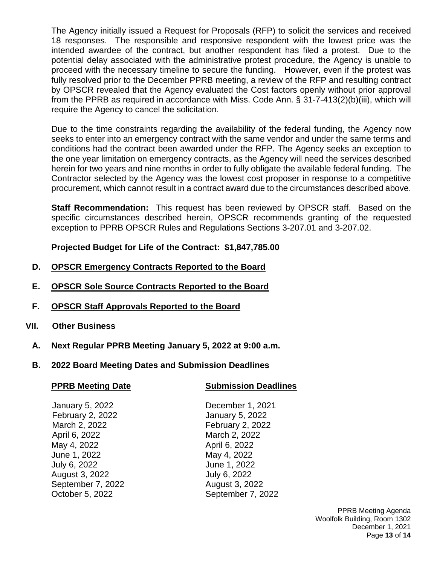The Agency initially issued a Request for Proposals (RFP) to solicit the services and received 18 responses. The responsible and responsive respondent with the lowest price was the intended awardee of the contract, but another respondent has filed a protest. Due to the potential delay associated with the administrative protest procedure, the Agency is unable to proceed with the necessary timeline to secure the funding. However, even if the protest was fully resolved prior to the December PPRB meeting, a review of the RFP and resulting contract by OPSCR revealed that the Agency evaluated the Cost factors openly without prior approval from the PPRB as required in accordance with Miss. Code Ann. § 31-7-413(2)(b)(iii), which will require the Agency to cancel the solicitation.

Due to the time constraints regarding the availability of the federal funding, the Agency now seeks to enter into an emergency contract with the same vendor and under the same terms and conditions had the contract been awarded under the RFP. The Agency seeks an exception to the one year limitation on emergency contracts, as the Agency will need the services described herein for two years and nine months in order to fully obligate the available federal funding. The Contractor selected by the Agency was the lowest cost proposer in response to a competitive procurement, which cannot result in a contract award due to the circumstances described above.

**Staff Recommendation:** This request has been reviewed by OPSCR staff. Based on the specific circumstances described herein, OPSCR recommends granting of the requested exception to PPRB OPSCR Rules and Regulations Sections 3-207.01 and 3-207.02.

**Projected Budget for Life of the Contract: \$1,847,785.00**

- **D. OPSCR Emergency Contracts Reported to the Board**
- **E. OPSCR Sole Source Contracts Reported to the Board**
- **F. OPSCR Staff Approvals Reported to the Board**
- **VII. Other Business**
	- **A. Next Regular PPRB Meeting January 5, 2022 at 9:00 a.m.**
	- **B. 2022 Board Meeting Dates and Submission Deadlines**

| <b>PPRB Meeting Date</b> | <b>Submission Deadlines</b> |  |
|--------------------------|-----------------------------|--|
|                          |                             |  |
| January 5, 2022          | December 1, 2021            |  |
| February 2, 2022         | January 5, 2022             |  |
| March 2, 2022            | February 2, 2022            |  |
| April 6, 2022            | March 2, 2022               |  |
| May 4, 2022              | April 6, 2022               |  |
| June 1, 2022             | May 4, 2022                 |  |
| July 6, 2022             | June 1, 2022                |  |
| August 3, 2022           | July 6, 2022                |  |

September 7, 2022 August 3, 2022 October 5, 2022 September 7, 2022

> PPRB Meeting Agenda Woolfolk Building, Room 1302 December 1, 2021 Page **13** of **14**